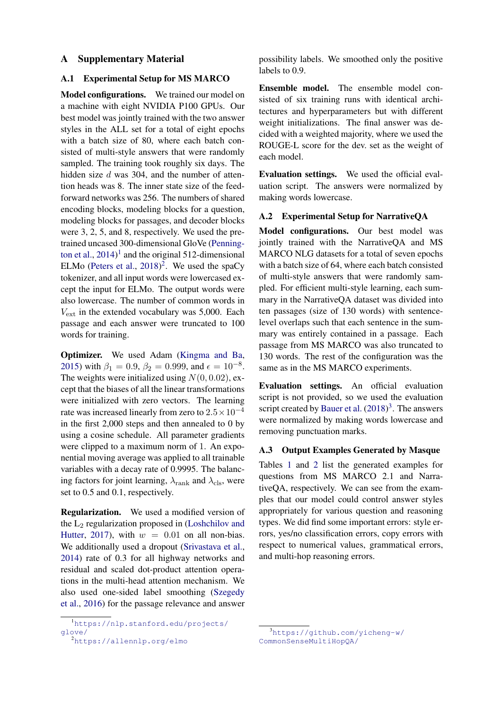### A Supplementary Material

## A.1 Experimental Setup for MS MARCO

Model configurations. We trained our model on a machine with eight NVIDIA P100 GPUs. Our best model was jointly trained with the two answer styles in the ALL set for a total of eight epochs with a batch size of 80, where each batch consisted of multi-style answers that were randomly sampled. The training took roughly six days. The hidden size d was 304, and the number of attention heads was 8. The inner state size of the feedforward networks was 256. The numbers of shared encoding blocks, modeling blocks for a question, modeling blocks for passages, and decoder blocks were 3, 2, 5, and 8, respectively. We used the pretrained uncased 300-dimensional GloVe [\(Penning](#page-3-0)[ton et al.,](#page-3-0)  $2014$  $2014$  $2014$ <sup>1</sup> and the original 512-dimensional ELMo [\(Peters et al.,](#page-3-1)  $2018$  $2018$ )<sup>2</sup>. We used the spaCy tokenizer, and all input words were lowercased except the input for ELMo. The output words were also lowercase. The number of common words in  $V_{\text{ext}}$  in the extended vocabulary was 5,000. Each passage and each answer were truncated to 100 words for training.

Optimizer. We used Adam [\(Kingma and Ba,](#page-3-2) [2015\)](#page-3-2) with  $\beta_1 = 0.9$ ,  $\beta_2 = 0.999$ , and  $\epsilon = 10^{-8}$ . The weights were initialized using  $N(0, 0.02)$ , except that the biases of all the linear transformations were initialized with zero vectors. The learning rate was increased linearly from zero to  $2.5 \times 10^{-4}$ in the first 2,000 steps and then annealed to 0 by using a cosine schedule. All parameter gradients were clipped to a maximum norm of 1. An exponential moving average was applied to all trainable variables with a decay rate of 0.9995. The balancing factors for joint learning,  $\lambda_{\text{rank}}$  and  $\lambda_{\text{cls}}$ , were set to 0.5 and 0.1, respectively.

Regularization. We used a modified version of the  $L_2$  regularization proposed in [\(Loshchilov and](#page-3-3) [Hutter,](#page-3-3) [2017\)](#page-3-3), with  $w = 0.01$  on all non-bias. We additionally used a dropout [\(Srivastava et al.,](#page-3-4) [2014\)](#page-3-4) rate of 0.3 for all highway networks and residual and scaled dot-product attention operations in the multi-head attention mechanism. We also used one-sided label smoothing [\(Szegedy](#page-3-5) [et al.,](#page-3-5) [2016\)](#page-3-5) for the passage relevance and answer possibility labels. We smoothed only the positive labels to 0.9.

Ensemble model. The ensemble model consisted of six training runs with identical architectures and hyperparameters but with different weight initializations. The final answer was decided with a weighted majority, where we used the ROUGE-L score for the dev. set as the weight of each model.

Evaluation settings. We used the official evaluation script. The answers were normalized by making words lowercase.

# A.2 Experimental Setup for NarrativeQA

Model configurations. Our best model was jointly trained with the NarrativeQA and MS MARCO NLG datasets for a total of seven epochs with a batch size of 64, where each batch consisted of multi-style answers that were randomly sampled. For efficient multi-style learning, each summary in the NarrativeQA dataset was divided into ten passages (size of 130 words) with sentencelevel overlaps such that each sentence in the summary was entirely contained in a passage. Each passage from MS MARCO was also truncated to 130 words. The rest of the configuration was the same as in the MS MARCO experiments.

Evaluation settings. An official evaluation script is not provided, so we used the evaluation script created by [Bauer et al.](#page-3-6)  $(2018)^3$  $(2018)^3$  $(2018)^3$ . The answers were normalized by making words lowercase and removing punctuation marks.

## A.3 Output Examples Generated by Masque

Tables [1](#page-1-0) and [2](#page-2-0) list the generated examples for questions from MS MARCO 2.1 and NarrativeQA, respectively. We can see from the examples that our model could control answer styles appropriately for various question and reasoning types. We did find some important errors: style errors, yes/no classification errors, copy errors with respect to numerical values, grammatical errors, and multi-hop reasoning errors.

<span id="page-0-0"></span><sup>1</sup>[https://nlp.stanford.edu/projects/](https://nlp.stanford.edu/projects/glove/) [glove/](https://nlp.stanford.edu/projects/glove/)

<span id="page-0-1"></span><sup>2</sup><https://allennlp.org/elmo>

<span id="page-0-2"></span><sup>3</sup>[https://github.com/yicheng-w/](https://github.com/yicheng-w/CommonSenseMultiHopQA/) [CommonSenseMultiHopQA/](https://github.com/yicheng-w/CommonSenseMultiHopQA/)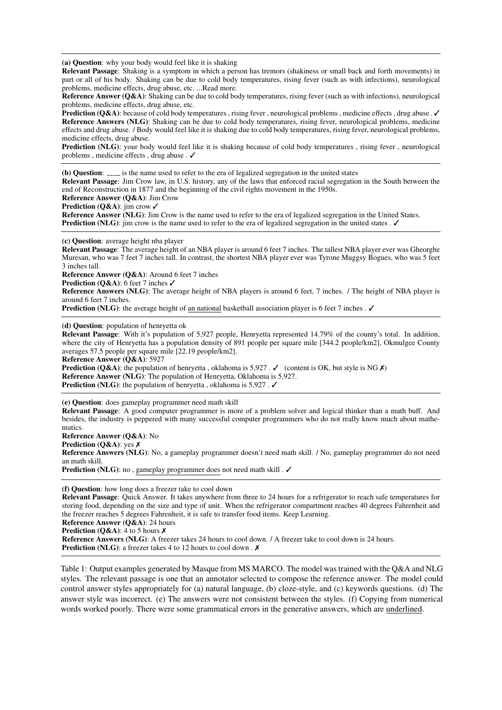<span id="page-1-0"></span>(a) Question: why your body would feel like it is shaking

Relevant Passage: Shaking is a symptom in which a person has tremors (shakiness or small back and forth movements) in part or all of his body. Shaking can be due to cold body temperatures, rising fever (such as with infections), neurological problems, medicine effects, drug abuse, etc. ...Read more.

Reference Answer (Q&A): Shaking can be due to cold body temperatures, rising fever (such as with infections), neurological problems, medicine effects, drug abuse, etc.

**Prediction (Q&A)**: because of cold body temperatures , rising fever , neurological problems , medicine effects , drug abuse .  $\checkmark$ Reference Answers (NLG): Shaking can be due to cold body temperatures, rising fever, neurological problems, medicine effects and drug abuse. / Body would feel like it is shaking due to cold body temperatures, rising fever, neurological problems, medicine effects, drug abuse.

**Prediction (NLG):** your body would feel like it is shaking because of cold body temperatures, rising fever, neurological problems , medicine effects , drug abuse . ✓

(b) Question:  $\frac{1}{2}$  is the name used to refer to the era of legalized segregation in the united states Relevant Passage: Jim Crow law, in U.S. history, any of the laws that enforced racial segregation in the South between the end of Reconstruction in 1877 and the beginning of the civil rights movement in the 1950s.

Reference Answer (Q&A): Jim Crow

Prediction (Q&A): jim crow ✓

Reference Answer (NLG): Jim Crow is the name used to refer to the era of legalized segregation in the United States. Prediction (NLG): jim crow is the name used to refer to the era of legalized segregation in the united states . ✓

(c) Question: average height nba player

Relevant Passage: The average height of an NBA player is around 6 feet 7 inches. The tallest NBA player ever was Gheorghe Muresan, who was 7 feet 7 inches tall. In contrast, the shortest NBA player ever was Tyrone Muggsy Bogues, who was 5 feet 3 inches tall.

Reference Answer (Q&A): Around 6 feet 7 inches

Prediction (Q&A): 6 feet 7 inches √

Reference Answers (NLG): The average height of NBA players is around 6 feet, 7 inches. / The height of NBA player is around 6 feet 7 inches.

Prediction (NLG): the average height of an national basketball association player is 6 feet 7 inches . ✓

(d) Question: population of henryetta ok

Relevant Passage: With it's population of 5,927 people, Henryetta represented 14.79% of the county's total. In addition, where the city of Henryetta has a population density of 891 people per square mile [344.2 people/km2], Okmulgee County averages 57.5 people per square mile [22.19 people/km2].

Reference Answer (Q&A): 5927

**Prediction (Q&A)**: the population of henryetta, oklahoma is 5,927 .  $\checkmark$  (content is OK, but style is NG  $\checkmark$ ) Reference Answer (NLG): The population of Henryetta, Oklahoma is 5,927. Prediction (NLG): the population of henryetta, oklahoma is 5,927. ✓

(e) Question: does gameplay programmer need math skill

Relevant Passage: A good computer programmer is more of a problem solver and logical thinker than a math buff. And besides, the industry is peppered with many successful computer programmers who do not really know much about mathematics.

Reference Answer (Q&A): No

Prediction (Q&A): yes  $X$ Reference Answers (NLG): No, a gameplay programmer doesn't need math skill. / No, gameplay programmer do not need an math skill.

Prediction (NLG): no, gameplay programmer does not need math skill. √

(f) Question: how long does a freezer take to cool down

Relevant Passage: Quick Answer. It takes anywhere from three to 24 hours for a refrigerator to reach safe temperatures for storing food, depending on the size and type of unit. When the refrigerator compartment reaches 40 degrees Fahrenheit and the freezer reaches 5 degrees Fahrenheit, it is safe to transfer food items. Keep Learning.

Reference Answer (Q&A): 24 hours

**Prediction (Q&A):** 4 to 5 hours  $X$ 

Reference Answers (NLG): A freezer takes 24 hours to cool down. / A freezer take to cool down is 24 hours. Prediction (NLG): a freezer takes 4 to 12 hours to cool down .  $\times$ 

Table 1: Output examples generated by Masque from MS MARCO. The model was trained with the Q&A and NLG styles. The relevant passage is one that an annotator selected to compose the reference answer. The model could control answer styles appropriately for (a) natural language, (b) cloze-style, and (c) keywords questions. (d) The answer style was incorrect. (e) The answers were not consistent between the styles. (f) Copying from numerical words worked poorly. There were some grammatical errors in the generative answers, which are underlined.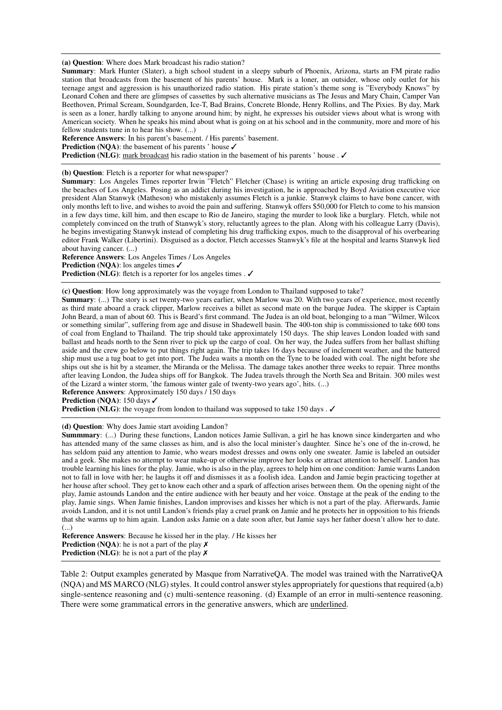<span id="page-2-0"></span>(a) Question: Where does Mark broadcast his radio station?

Summary: Mark Hunter (Slater), a high school student in a sleepy suburb of Phoenix, Arizona, starts an FM pirate radio station that broadcasts from the basement of his parents' house. Mark is a loner, an outsider, whose only outlet for his teenage angst and aggression is his unauthorized radio station. His pirate station's theme song is "Everybody Knows" by Leonard Cohen and there are glimpses of cassettes by such alternative musicians as The Jesus and Mary Chain, Camper Van Beethoven, Primal Scream, Soundgarden, Ice-T, Bad Brains, Concrete Blonde, Henry Rollins, and The Pixies. By day, Mark is seen as a loner, hardly talking to anyone around him; by night, he expresses his outsider views about what is wrong with American society. When he speaks his mind about what is going on at his school and in the community, more and more of his fellow students tune in to hear his show. (...)

Reference Answers: In his parent's basement. / His parents' basement.

Prediction (NOA): the basement of his parents ' house √

Prediction (NLG): mark broadcast his radio station in the basement of his parents ' house . ✓

#### (b) Question: Fletch is a reporter for what newspaper?

Summary: Los Angeles Times reporter Irwin "Fletch" Fletcher (Chase) is writing an article exposing drug trafficking on the beaches of Los Angeles. Posing as an addict during his investigation, he is approached by Boyd Aviation executive vice president Alan Stanwyk (Matheson) who mistakenly assumes Fletch is a junkie. Stanwyk claims to have bone cancer, with only months left to live, and wishes to avoid the pain and suffering. Stanwyk offers \$50,000 for Fletch to come to his mansion in a few days time, kill him, and then escape to Rio de Janeiro, staging the murder to look like a burglary. Fletch, while not completely convinced on the truth of Stanwyk's story, reluctantly agrees to the plan. Along with his colleague Larry (Davis), he begins investigating Stanwyk instead of completing his drug trafficking expos, much to the disapproval of his overbearing editor Frank Walker (Libertini). Disguised as a doctor, Fletch accesses Stanwyk's file at the hospital and learns Stanwyk lied about having cancer. (...)

Reference Answers: Los Angeles Times / Los Angeles Prediction (NQA): los angeles times ✓ Prediction (NLG): fletch is a reporter for los angeles times . ✓

(c) Question: How long approximately was the voyage from London to Thailand supposed to take?

Summary: (...) The story is set twenty-two years earlier, when Marlow was 20. With two years of experience, most recently as third mate aboard a crack clipper, Marlow receives a billet as second mate on the barque Judea. The skipper is Captain John Beard, a man of about 60. This is Beard's first command. The Judea is an old boat, belonging to a man "Wilmer, Wilcox or something similar", suffering from age and disuse in Shadewell basin. The 400-ton ship is commissioned to take 600 tons of coal from England to Thailand. The trip should take approximately 150 days. The ship leaves London loaded with sand ballast and heads north to the Senn river to pick up the cargo of coal. On her way, the Judea suffers from her ballast shifting aside and the crew go below to put things right again. The trip takes 16 days because of inclement weather, and the battered ship must use a tug boat to get into port. The Judea waits a month on the Tyne to be loaded with coal. The night before she ships out she is hit by a steamer, the Miranda or the Melissa. The damage takes another three weeks to repair. Three months after leaving London, the Judea ships off for Bangkok. The Judea travels through the North Sea and Britain. 300 miles west of the Lizard a winter storm, 'the famous winter gale of twenty-two years ago', hits. (...) Reference Answers: Approximately 150 days / 150 days

Prediction (NQA): 150 days √

Prediction (NLG): the voyage from london to thailand was supposed to take 150 days . ✓

#### (d) Question: Why does Jamie start avoiding Landon?

Summmary: (...) During these functions, Landon notices Jamie Sullivan, a girl he has known since kindergarten and who has attended many of the same classes as him, and is also the local minister's daughter. Since he's one of the in-crowd, he has seldom paid any attention to Jamie, who wears modest dresses and owns only one sweater. Jamie is labeled an outsider and a geek. She makes no attempt to wear make-up or otherwise improve her looks or attract attention to herself. Landon has trouble learning his lines for the play. Jamie, who is also in the play, agrees to help him on one condition: Jamie warns Landon not to fall in love with her; he laughs it off and dismisses it as a foolish idea. Landon and Jamie begin practicing together at her house after school. They get to know each other and a spark of affection arises between them. On the opening night of the play, Jamie astounds Landon and the entire audience with her beauty and her voice. Onstage at the peak of the ending to the play, Jamie sings. When Jamie finishes, Landon improvises and kisses her which is not a part of the play. Afterwards, Jamie avoids Landon, and it is not until Landon's friends play a cruel prank on Jamie and he protects her in opposition to his friends that she warms up to him again. Landon asks Jamie on a date soon after, but Jamie says her father doesn't allow her to date.  $\left( \ldots \right)$ 

Reference Answers: Because he kissed her in the play. / He kisses her **Prediction** (NOA): he is not a part of the play  $\chi$ **Prediction** (NLG): he is not a part of the play  $\chi$ 

Table 2: Output examples generated by Masque from NarrativeQA. The model was trained with the NarrativeQA (NQA) and MS MARCO (NLG) styles. It could control answer styles appropriately for questions that required (a,b) single-sentence reasoning and (c) multi-sentence reasoning. (d) Example of an error in multi-sentence reasoning. There were some grammatical errors in the generative answers, which are underlined.